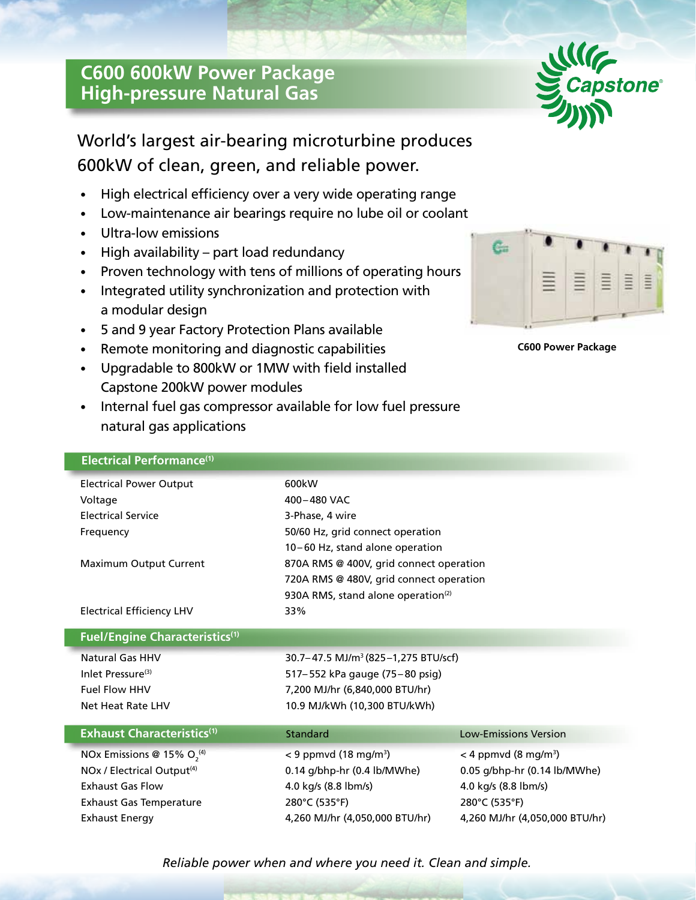## **C600 600kW Power Package High-pressure Natural Gas**



# World's largest air-bearing microturbine produces 600kW of clean, green, and reliable power.

- High electrical efficiency over a very wide operating range
- Low-maintenance air bearings require no lube oil or coolant
- Ultra-low emissions
- High availability part load redundancy
- Proven technology with tens of millions of operating hours
- Integrated utility synchronization and protection with a modular design
- 5 and 9 year Factory Protection Plans available
- Remote monitoring and diagnostic capabilities
- Upgradable to 800kW or 1MW with field installed Capstone 200kW power modules
- Internal fuel gas compressor available for low fuel pressure natural gas applications

| ≣. | êy | Ē. | $\equiv$ | $\equiv$ |
|----|----|----|----------|----------|
|    |    |    |          |          |



| 600kW                                   |                                                                                                                                                                                                                                                                                                  |  |  |
|-----------------------------------------|--------------------------------------------------------------------------------------------------------------------------------------------------------------------------------------------------------------------------------------------------------------------------------------------------|--|--|
| 400-480 VAC                             |                                                                                                                                                                                                                                                                                                  |  |  |
| 3-Phase, 4 wire                         |                                                                                                                                                                                                                                                                                                  |  |  |
| 50/60 Hz, grid connect operation        |                                                                                                                                                                                                                                                                                                  |  |  |
| 10-60 Hz, stand alone operation         |                                                                                                                                                                                                                                                                                                  |  |  |
| 870A RMS @ 400V, grid connect operation |                                                                                                                                                                                                                                                                                                  |  |  |
| 720A RMS @ 480V, grid connect operation |                                                                                                                                                                                                                                                                                                  |  |  |
|                                         |                                                                                                                                                                                                                                                                                                  |  |  |
| 33%                                     |                                                                                                                                                                                                                                                                                                  |  |  |
|                                         |                                                                                                                                                                                                                                                                                                  |  |  |
|                                         |                                                                                                                                                                                                                                                                                                  |  |  |
|                                         |                                                                                                                                                                                                                                                                                                  |  |  |
| 7,200 MJ/hr (6,840,000 BTU/hr)          |                                                                                                                                                                                                                                                                                                  |  |  |
| 10.9 MJ/kWh (10,300 BTU/kWh)            |                                                                                                                                                                                                                                                                                                  |  |  |
|                                         | <b>Low-Emissions Version</b>                                                                                                                                                                                                                                                                     |  |  |
|                                         | $<$ 4 ppmvd (8 mg/m <sup>3</sup> )                                                                                                                                                                                                                                                               |  |  |
|                                         | 0.05 g/bhp-hr (0.14 lb/MWhe)                                                                                                                                                                                                                                                                     |  |  |
|                                         | 4.0 kg/s (8.8 lbm/s)                                                                                                                                                                                                                                                                             |  |  |
|                                         | 280°C (535°F)                                                                                                                                                                                                                                                                                    |  |  |
|                                         | 4,260 MJ/hr (4,050,000 BTU/hr)                                                                                                                                                                                                                                                                   |  |  |
|                                         | 930A RMS, stand alone operation <sup>(2)</sup><br>30.7-47.5 MJ/m <sup>3</sup> (825-1,275 BTU/scf)<br>517-552 kPa gauge (75-80 psig)<br>Standard<br>$<$ 9 ppmvd (18 mg/m <sup>3</sup> )<br>0.14 g/bhp-hr (0.4 lb/MWhe)<br>4.0 kg/s (8.8 lbm/s)<br>280°C (535°F)<br>4,260 MJ/hr (4,050,000 BTU/hr) |  |  |

*Reliable power when and where you need it. Clean and simple.*